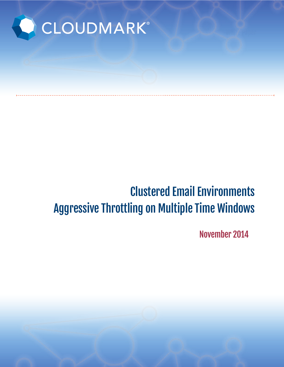

# Clustered Email Environments Aggressive Throttling on Multiple Time Windows

November 2014

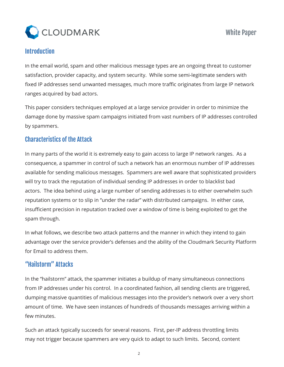

#### **Introduction**

In the email world, spam and other malicious message types are an ongoing threat to customer satisfaction, provider capacity, and system security. While some semi-legitimate senders with fixed IP addresses send unwanted messages, much more traffic originates from large IP network ranges acquired by bad actors.

This paper considers techniques employed at a large service provider in order to minimize the damage done by massive spam campaigns initiated from vast numbers of IP addresses controlled by spammers.

#### Characteristics of the Attack

In many parts of the world it is extremely easy to gain access to large IP network ranges. As a consequence, a spammer in control of such a network has an enormous number of IP addresses available for sending malicious messages. Spammers are well aware that sophisticated providers will try to track the reputation of individual sending IP addresses in order to blacklist bad actors. The idea behind using a large number of sending addresses is to either overwhelm such reputation systems or to slip in "under the radar" with distributed campaigns. In either case, insufficient precision in reputation tracked over a window of time is being exploited to get the spam through.

In what follows, we describe two attack patterns and the manner in which they intend to gain advantage over the service provider's defenses and the ability of the Cloudmark Security Platform for Email to address them.

### "Hailstorm" Attacks

In the "hailstorm" attack, the spammer initiates a buildup of many simultaneous connections from IP addresses under his control. In a coordinated fashion, all sending clients are triggered, dumping massive quantities of malicious messages into the provider's network over a very short amount of time. We have seen instances of hundreds of thousands messages arriving within a few minutes.

Such an attack typically succeeds for several reasons. First, per-IP address throttling limits may not trigger because spammers are very quick to adapt to such limits. Second, content

2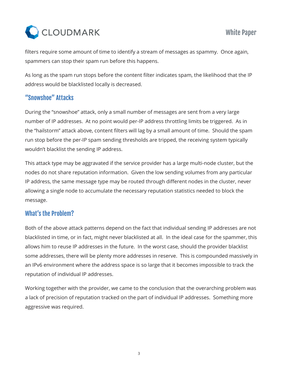

filters require some amount of time to identify a stream of messages as spammy. Once again, spammers can stop their spam run before this happens.

As long as the spam run stops before the content filter indicates spam, the likelihood that the IP address would be blacklisted locally is decreased.

# "Snowshoe" Attacks

During the "snowshoe" attack, only a small number of messages are sent from a very large number of IP addresses. At no point would per-IP address throttling limits be triggered. As in the "hailstorm" attack above, content filters will lag by a small amount of time. Should the spam run stop before the per-IP spam sending thresholds are tripped, the receiving system typically wouldn't blacklist the sending IP address.

This attack type may be aggravated if the service provider has a large multi-node cluster, but the nodes do not share reputation information. Given the low sending volumes from any particular IP address, the same message type may be routed through different nodes in the cluster, never allowing a single node to accumulate the necessary reputation statistics needed to block the message.

# What's the Problem?

Both of the above attack patterns depend on the fact that individual sending IP addresses are not blacklisted in time, or in fact, might never blacklisted at all. In the ideal case for the spammer, this allows him to reuse IP addresses in the future. In the worst case, should the provider blacklist some addresses, there will be plenty more addresses in reserve. This is compounded massively in an IPv6 environment where the address space is so large that it becomes impossible to track the reputation of individual IP addresses.

Working together with the provider, we came to the conclusion that the overarching problem was a lack of precision of reputation tracked on the part of individual IP addresses. Something more aggressive was required.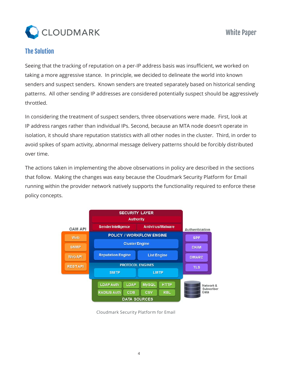

## The Solution

Seeing that the tracking of reputation on a per-IP address basis was insufficient, we worked on taking a more aggressive stance. In principle, we decided to delineate the world into known senders and suspect senders. Known senders are treated separately based on historical sending patterns. All other sending IP addresses are considered potentially suspect should be aggressively throttled.

In considering the treatment of suspect senders, three observations were made. First, look at IP address ranges rather than individual IPs. Second, because an MTA node doesn't operate in isolation, it should share reputation statistics with all other nodes in the cluster. Third, in order to avoid spikes of spam activity, abnormal message delivery patterns should be forcibly distributed over time.

The actions taken in implementing the above observations in policy are described in the sections that follow. Making the changes was easy because the Cloudmark Security Platform for Email running within the provider network natively supports the functionality required to enforce these policy concepts.



Cloudmark Security Platform for Email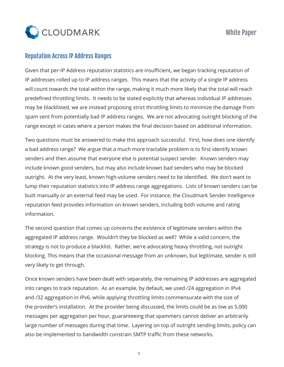

#### Reputation Across IP Address Ranges

Given that per-IP Address reputation statistics are insufficient, we began tracking reputation of IP addresses rolled up to IP address ranges. This means that the activity of a single IP address will count towards the total within the range, making it much more likely that the total will reach predefined throttling limits. It needs to be stated explicitly that whereas individual IP addresses may be blacklisted, we are instead proposing strict throttling limits to minimize the damage from spam sent from potentially bad IP address ranges. We are not advocating outright blocking of the range except in cases where a person makes the final decision based on additional information.

Two questions must be answered to make this approach successful. First, how does one identify a bad address range? We argue that a much more tractable problem is to first identify known senders and then assume that everyone else is potential suspect sender. Known senders may include known good senders, but may also include known bad senders who may be blocked outright. At the very least, known high-volume senders need to be identified. We don't want to lump their reputation statistics into IP address range aggregations. Lists of known senders can be built manually or an external feed may be used. For instance, the Cloudmark Sender Intelligence reputation feed provides information on known senders, including both volume and rating information.

The second question that comes up concerns the existence of legitimate senders within the aggregated IP address range. Wouldn't they be blocked as well? While a valid concern, the strategy is not to produce a blacklist. Rather, we're advocating heavy throttling, not outright blocking. This means that the occasional message from an unknown, but legitimate, sender is still very likely to get through.

Once known senders have been dealt with separately, the remaining IP addresses are aggregated into ranges to track reputation. As an example, by default, we used /24 aggregation in IPv4 and /32 aggregation in IPv6, while applying throttling limits commensurate with the size of the provider's installation. At the provider being discussed, the limits could be as low as 5,000 messages per aggregation per hour, guaranteeing that spammers cannot deliver an arbitrarily large number of messages during that time. Layering on top of outright sending limits, policy can also be implemented to bandwidth constrain SMTP traffic from these networks.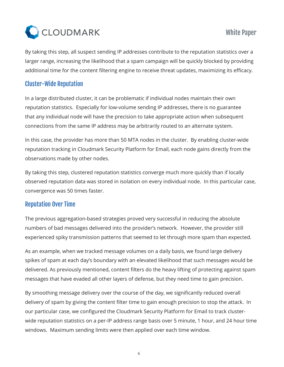

By taking this step, all suspect sending IP addresses contribute to the reputation statistics over a larger range, increasing the likelihood that a spam campaign will be quickly blocked by providing additional time for the content filtering engine to receive threat updates, maximizing its efficacy.

#### Cluster-Wide Reputation

In a large distributed cluster, it can be problematic if individual nodes maintain their own reputation statistics. Especially for low-volume sending IP addresses, there is no guarantee that any individual node will have the precision to take appropriate action when subsequent connections from the same IP address may be arbitrarily routed to an alternate system.

In this case, the provider has more than 50 MTA nodes in the cluster. By enabling cluster-wide reputation tracking in Cloudmark Security Platform for Email, each node gains directly from the observations made by other nodes.

By taking this step, clustered reputation statistics converge much more quickly than if locally observed reputation data was stored in isolation on every individual node. In this particular case, convergence was 50 times faster.

### Reputation Over Time

The previous aggregation-based strategies proved very successful in reducing the absolute numbers of bad messages delivered into the provider's network. However, the provider still experienced spiky transmission patterns that seemed to let through more spam than expected.

As an example, when we tracked message volumes on a daily basis, we found large delivery spikes of spam at each day's boundary with an elevated likelihood that such messages would be delivered. As previously mentioned, content filters do the heavy lifting of protecting against spam messages that have evaded all other layers of defense, but they need time to gain precision.

By smoothing message delivery over the course of the day, we significantly reduced overall delivery of spam by giving the content filter time to gain enough precision to stop the attack. In our particular case, we configured the Cloudmark Security Platform for Email to track clusterwide reputation statistics on a per-IP address range basis over 5 minute, 1 hour, and 24 hour time windows. Maximum sending limits were then applied over each time window.